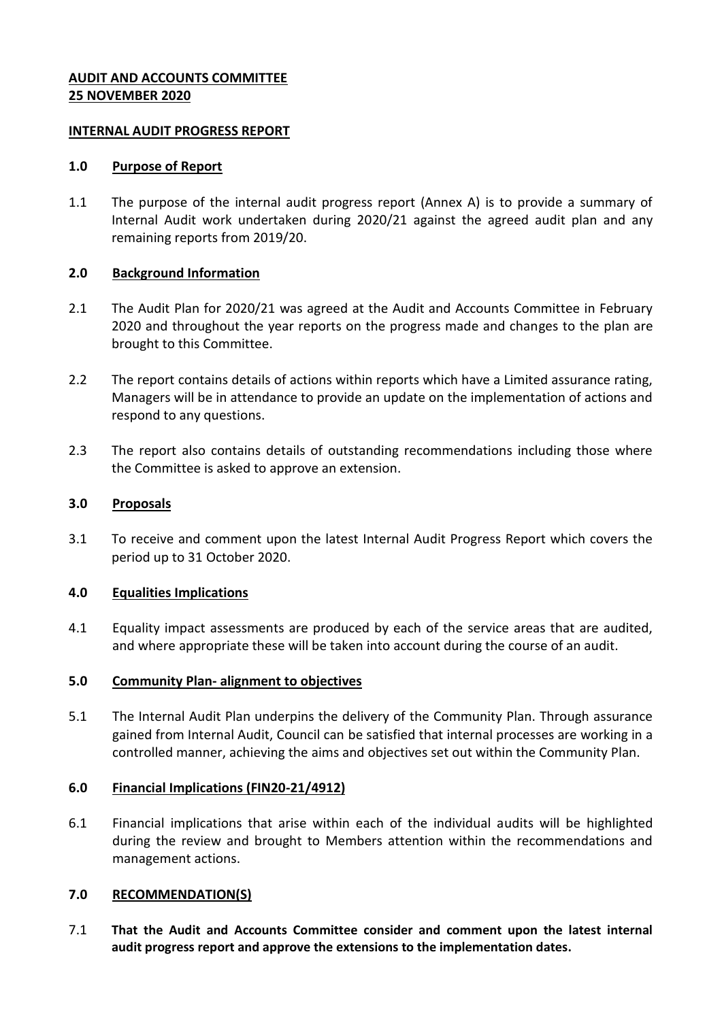# **AUDIT AND ACCOUNTS COMMITTEE 25 NOVEMBER 2020**

#### **INTERNAL AUDIT PROGRESS REPORT**

#### **1.0 Purpose of Report**

1.1 The purpose of the internal audit progress report (Annex A) is to provide a summary of Internal Audit work undertaken during 2020/21 against the agreed audit plan and any remaining reports from 2019/20.

## **2.0 Background Information**

- 2.1 The Audit Plan for 2020/21 was agreed at the Audit and Accounts Committee in February 2020 and throughout the year reports on the progress made and changes to the plan are brought to this Committee.
- 2.2 The report contains details of actions within reports which have a Limited assurance rating, Managers will be in attendance to provide an update on the implementation of actions and respond to any questions.
- 2.3 The report also contains details of outstanding recommendations including those where the Committee is asked to approve an extension.

#### **3.0 Proposals**

3.1 To receive and comment upon the latest Internal Audit Progress Report which covers the period up to 31 October 2020.

## **4.0 Equalities Implications**

4.1 Equality impact assessments are produced by each of the service areas that are audited, and where appropriate these will be taken into account during the course of an audit.

#### **5.0 Community Plan- alignment to objectives**

5.1 The Internal Audit Plan underpins the delivery of the Community Plan. Through assurance gained from Internal Audit, Council can be satisfied that internal processes are working in a controlled manner, achieving the aims and objectives set out within the Community Plan.

## **6.0 Financial Implications (FIN20-21/4912)**

6.1 Financial implications that arise within each of the individual audits will be highlighted during the review and brought to Members attention within the recommendations and management actions.

## **7.0 RECOMMENDATION(S)**

7.1 **That the Audit and Accounts Committee consider and comment upon the latest internal audit progress report and approve the extensions to the implementation dates.**